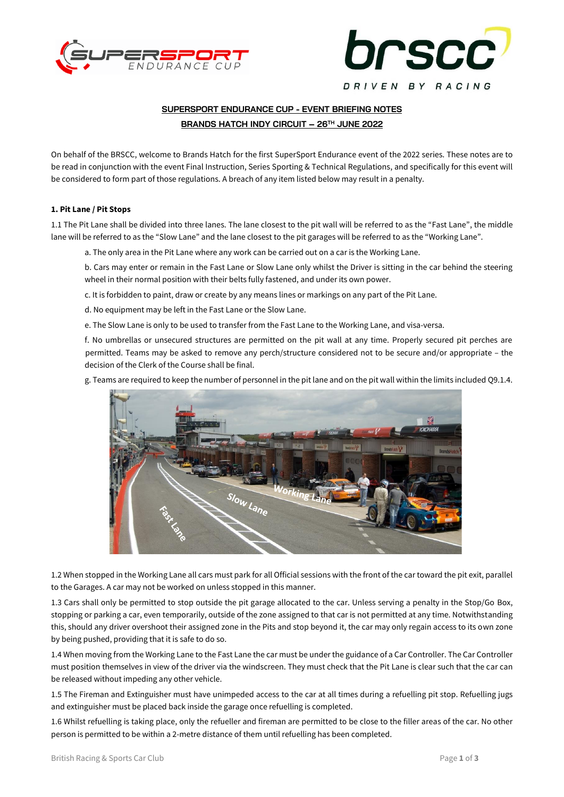



# **SUPERSPORT ENDURANCE CUP - EVENT BRIEFING NOTES BRANDS HATCH INDY CIRCUIT – 26TH JUNE 2022**

On behalf of the BRSCC, welcome to Brands Hatch for the first SuperSport Endurance event of the 2022 series. These notes are to be read in conjunction with the event Final Instruction, Series Sporting & Technical Regulations, and specifically for this event will be considered to form part of those regulations. A breach of any item listed below may result in a penalty.

# **1. Pit Lane / Pit Stops**

1.1 The Pit Lane shall be divided into three lanes. The lane closest to the pit wall will be referred to as the "Fast Lane", the middle lane will be referred to as the "Slow Lane" and the lane closest to the pit garages will be referred to as the "Working Lane".

a. The only area in the Pit Lane where any work can be carried out on a car is the Working Lane.

b. Cars may enter or remain in the Fast Lane or Slow Lane only whilst the Driver is sitting in the car behind the steering wheel in their normal position with their belts fully fastened, and under its own power.

c. It is forbidden to paint, draw or create by any means lines or markings on any part of the Pit Lane.

d. No equipment may be left in the Fast Lane or the Slow Lane.

e. The Slow Lane is only to be used to transfer from the Fast Lane to the Working Lane, and visa-versa.

f. No umbrellas or unsecured structures are permitted on the pit wall at any time. Properly secured pit perches are permitted. Teams may be asked to remove any perch/structure considered not to be secure and/or appropriate – the decision of the Clerk of the Course shall be final.

g. Teams are required to keep the number of personnel in the pit lane and on the pit wall within the limits included Q9.1.4.



1.2 When stopped in the Working Lane all cars must park for all Official sessions with the front of the car toward the pit exit, parallel to the Garages. A car may not be worked on unless stopped in this manner.

1.3 Cars shall only be permitted to stop outside the pit garage allocated to the car. Unless serving a penalty in the Stop/Go Box, stopping or parking a car, even temporarily, outside of the zone assigned to that car is not permitted at any time. Notwithstanding this, should any driver overshoot their assigned zone in the Pits and stop beyond it, the car may only regain access to its own zone by being pushed, providing that it is safe to do so.

1.4 When moving from the Working Lane to the Fast Lane the car must be under the guidance of a Car Controller. The Car Controller must position themselves in view of the driver via the windscreen. They must check that the Pit Lane is clear such that the car can be released without impeding any other vehicle.

1.5 The Fireman and Extinguisher must have unimpeded access to the car at all times during a refuelling pit stop. Refuelling jugs and extinguisher must be placed back inside the garage once refuelling is completed.

1.6 Whilst refuelling is taking place, only the refueller and fireman are permitted to be close to the filler areas of the car. No other person is permitted to be within a 2-metre distance of them until refuelling has been completed.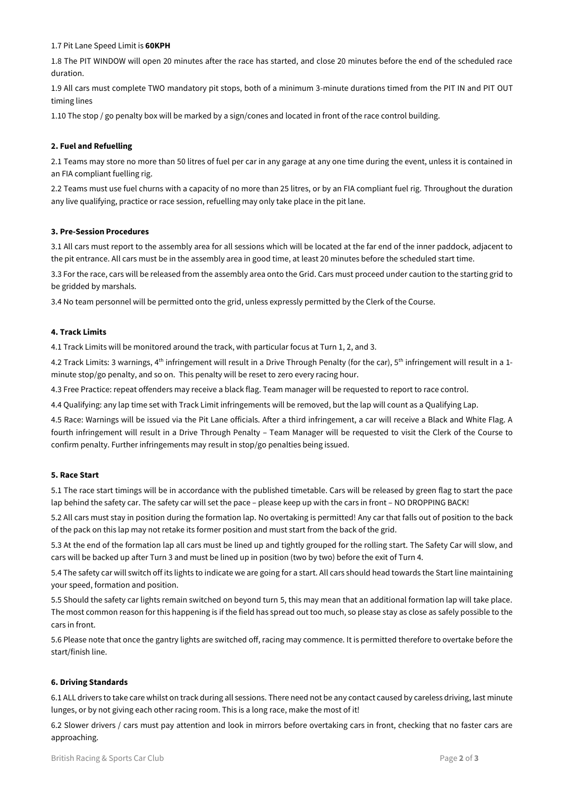## 1.7 Pit Lane Speed Limit is **60KPH**

1.8 The PIT WINDOW will open 20 minutes after the race has started, and close 20 minutes before the end of the scheduled race duration.

1.9 All cars must complete TWO mandatory pit stops, both of a minimum 3-minute durations timed from the PIT IN and PIT OUT timing lines

1.10 The stop / go penalty box will be marked by a sign/cones and located in front of the race control building.

# **2. Fuel and Refuelling**

2.1 Teams may store no more than 50 litres of fuel per car in any garage at any one time during the event, unless it is contained in an FIA compliant fuelling rig.

2.2 Teams must use fuel churns with a capacity of no more than 25 litres, or by an FIA compliant fuel rig. Throughout the duration any live qualifying, practice or race session, refuelling may only take place in the pit lane.

# **3. Pre-Session Procedures**

3.1 All cars must report to the assembly area for all sessions which will be located at the far end of the inner paddock, adjacent to the pit entrance. All cars must be in the assembly area in good time, at least 20 minutes before the scheduled start time.

3.3 For the race, cars will be released from the assembly area onto the Grid. Cars must proceed under caution to the starting grid to be gridded by marshals.

3.4 No team personnel will be permitted onto the grid, unless expressly permitted by the Clerk of the Course.

# **4. Track Limits**

4.1 Track Limits will be monitored around the track, with particular focus at Turn 1, 2, and 3.

4.2 Track Limits: 3 warnings, 4<sup>th</sup> infringement will result in a Drive Through Penalty (for the car), 5<sup>th</sup> infringement will result in a 1minute stop/go penalty, and so on. This penalty will be reset to zero every racing hour.

4.3 Free Practice: repeat offenders may receive a black flag. Team manager will be requested to report to race control.

4.4 Qualifying: any lap time set with Track Limit infringements will be removed, but the lap will count as a Qualifying Lap.

4.5 Race: Warnings will be issued via the Pit Lane officials. After a third infringement, a car will receive a Black and White Flag. A fourth infringement will result in a Drive Through Penalty – Team Manager will be requested to visit the Clerk of the Course to confirm penalty. Further infringements may result in stop/go penalties being issued.

#### **5. Race Start**

5.1 The race start timings will be in accordance with the published timetable. Cars will be released by green flag to start the pace lap behind the safety car. The safety car will set the pace – please keep up with the cars in front – NO DROPPING BACK!

5.2 All cars must stay in position during the formation lap. No overtaking is permitted! Any car that falls out of position to the back of the pack on this lap may not retake its former position and must start from the back of the grid.

5.3 At the end of the formation lap all cars must be lined up and tightly grouped for the rolling start. The Safety Car will slow, and cars will be backed up after Turn 3 and must be lined up in position (two by two) before the exit of Turn 4.

5.4 The safety car will switch off its lights to indicate we are going for a start. All cars should head towards the Start line maintaining your speed, formation and position.

5.5 Should the safety car lights remain switched on beyond turn 5, this may mean that an additional formation lap will take place. The most common reason for this happening is if the field has spread out too much, so please stay as close as safely possible to the cars in front.

5.6 Please note that once the gantry lights are switched off, racing may commence. It is permitted therefore to overtake before the start/finish line.

#### **6. Driving Standards**

6.1 ALL drivers to take care whilst on track during all sessions. There need not be any contact caused by careless driving, last minute lunges, or by not giving each other racing room. This is a long race, make the most of it!

6.2 Slower drivers / cars must pay attention and look in mirrors before overtaking cars in front, checking that no faster cars are approaching.